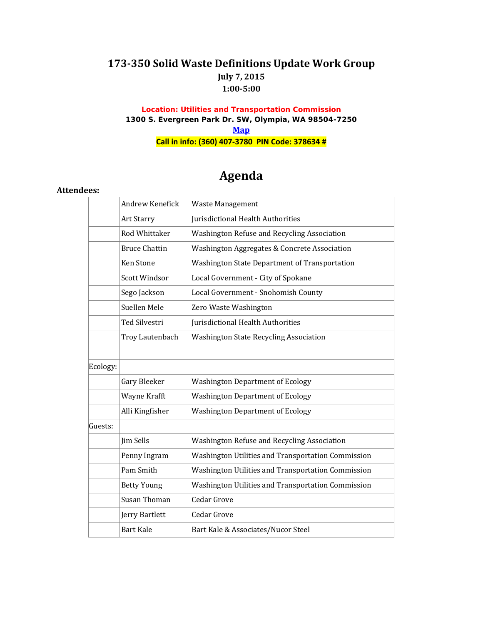# **173-350 Solid Waste Definitions Update Work Group July 7, 2015 1:00-5:00**

#### **Location: Utilities and Transportation Commission 1300 S. Evergreen Park Dr. SW, Olympia, WA 98504-7250 [Map](http://www.utc.wa.gov/contactUs/Pages/MapandDirections.aspx) Call in info: (360) 407-3780 PIN Code: 378634 #**

# **Agenda**

#### **Attendees:**

|          | Andrew Kenefick      | <b>Waste Management</b>                            |
|----------|----------------------|----------------------------------------------------|
|          | <b>Art Starry</b>    | Jurisdictional Health Authorities                  |
|          | Rod Whittaker        | Washington Refuse and Recycling Association        |
|          | <b>Bruce Chattin</b> | Washington Aggregates & Concrete Association       |
|          | <b>Ken Stone</b>     | Washington State Department of Transportation      |
|          | Scott Windsor        | Local Government - City of Spokane                 |
|          | Sego Jackson         | Local Government - Snohomish County                |
|          | Suellen Mele         | Zero Waste Washington                              |
|          | Ted Silvestri        | Jurisdictional Health Authorities                  |
|          | Troy Lautenbach      | <b>Washington State Recycling Association</b>      |
|          |                      |                                                    |
| Ecology: |                      |                                                    |
|          | Gary Bleeker         | <b>Washington Department of Ecology</b>            |
|          | Wayne Krafft         | <b>Washington Department of Ecology</b>            |
|          | Alli Kingfisher      | <b>Washington Department of Ecology</b>            |
| Guests:  |                      |                                                    |
|          | Jim Sells            | Washington Refuse and Recycling Association        |
|          | Penny Ingram         | Washington Utilities and Transportation Commission |
|          | Pam Smith            | Washington Utilities and Transportation Commission |
|          | <b>Betty Young</b>   | Washington Utilities and Transportation Commission |
|          | Susan Thoman         | <b>Cedar Grove</b>                                 |
|          | Jerry Bartlett       | Cedar Grove                                        |
|          | <b>Bart Kale</b>     | Bart Kale & Associates/Nucor Steel                 |
|          |                      |                                                    |